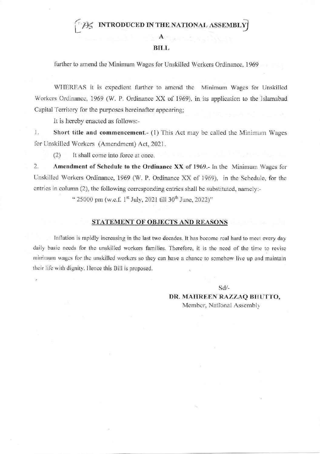AS INTRODUCED IN THE NATIONAL ASSEMBLY

## **BILL**

 $\mathbf{A}$ 

further to amend the Minimum Wages for Unskilled Workers Ordinance, 1969

WHEREAS it is expedient further to amend the Minimum Wages for Unskilled Workers Ordinance, 1969 (W. P. Ordinance XX of 1969), in its application to the Islamabad Capital Territory for the purposes hereinafter appearing:

It is hereby enacted as follows:-

 $1.$ Short title and commencement.- (1) This Act may be called the Minimum Wages for Unskilled Workers (Amendment) Act, 2021.

 $(2)$ It shall come into force at once.

 $2.$ Amendment of Schedule to the Ordinance XX of 1969.- In the Minimum Wages for Unskilled Workers Ordinance, 1969 (W. P. Ordinance XX of 1969), in the Schedule, for the entries in column (2), the following corresponding entries shall be substituted, namely:-

" 25000 pm (w.e.f. 1<sup>st</sup> July, 2021 till 30<sup>th</sup> June, 2022)"

## STATEMENT OF OBJECTS AND REASONS

Inflation is rapidly increasing in the last two decades. It has become real hard to meet every day daily basic needs for the unskilled workers families. Therefore, it is the need of the time to revise minimum wages for the unskilled workers so they can have a chance to somehow live up and maintain their life with dignity. Hence this Bill is proposed.

 $Sd/-$ 

DR. MAHREEN RAZZAQ BHUTTO, Member, National Assembly